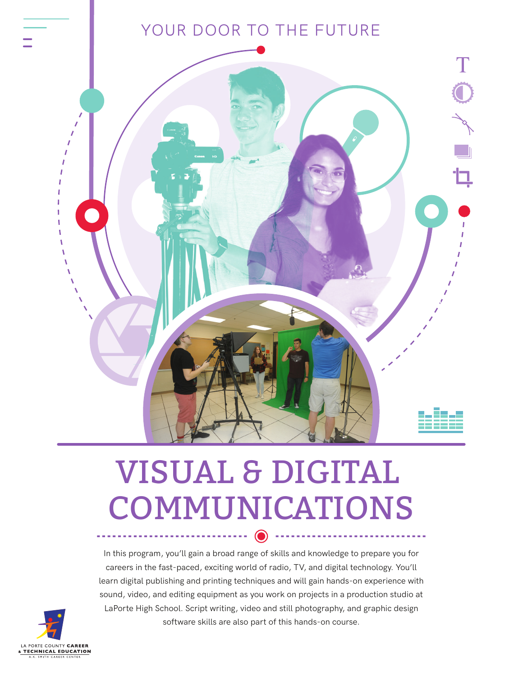# YOUR DOOR TO THE FUTURE



# VISUAL & DIGITAL COMMUNICATIONS

In this program, you'll gain a broad range of skills and knowledge to prepare you for careers in the fast-paced, exciting world of radio, TV, and digital technology. You'll learn digital publishing and printing techniques and will gain hands-on experience with sound, video, and editing equipment as you work on projects in a production studio at LaPorte High School. Script writing, video and still photography, and graphic design software skills are also part of this hands-on course.